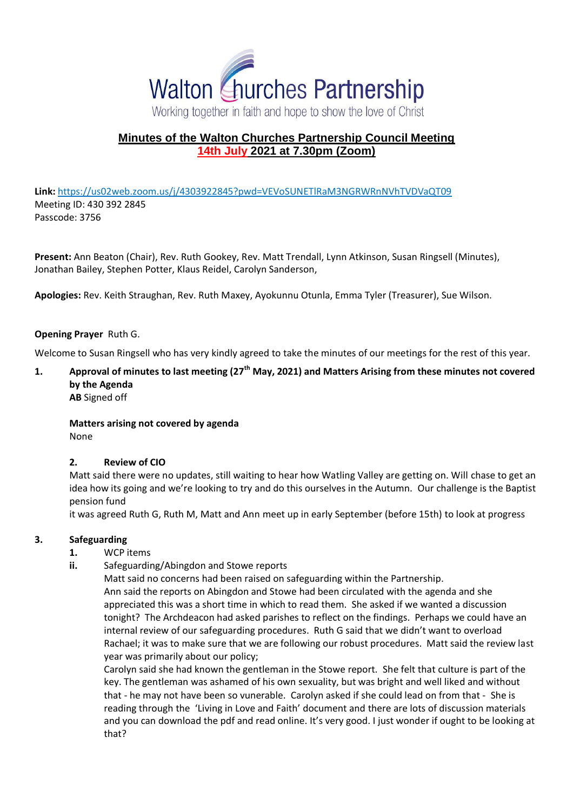

# **Minutes of the Walton Churches Partnership Council Meeting 14th July 2021 at 7.30pm (Zoom)**

**Link:** <https://us02web.zoom.us/j/4303922845?pwd=VEVoSUNETlRaM3NGRWRnNVhTVDVaQT09> Meeting ID: 430 392 2845 Passcode: 3756

**Present:** Ann Beaton (Chair), Rev. Ruth Gookey, Rev. Matt Trendall, Lynn Atkinson, Susan Ringsell (Minutes), Jonathan Bailey, Stephen Potter, Klaus Reidel, Carolyn Sanderson,

**Apologies:** Rev. Keith Straughan, Rev. Ruth Maxey, Ayokunnu Otunla, Emma Tyler (Treasurer), Sue Wilson.

### **Opening Prayer** Ruth G.

Welcome to Susan Ringsell who has very kindly agreed to take the minutes of our meetings for the rest of this year.

### **1. Approval of minutes to last meeting (27th May, 2021) and Matters Arising from these minutes not covered by the Agenda AB** Signed off

**Matters arising not covered by agenda** None

#### **2. Review of CIO**

Matt said there were no updates, still waiting to hear how Watling Valley are getting on. Will chase to get an idea how its going and we're looking to try and do this ourselves in the Autumn. Our challenge is the Baptist pension fund

it was agreed Ruth G, Ruth M, Matt and Ann meet up in early September (before 15th) to look at progress

#### **3. Safeguarding**

- **1.** WCP items
- **ii.** Safeguarding/Abingdon and Stowe reports

Matt said no concerns had been raised on safeguarding within the Partnership.

Ann said the reports on Abingdon and Stowe had been circulated with the agenda and she appreciated this was a short time in which to read them. She asked if we wanted a discussion tonight? The Archdeacon had asked parishes to reflect on the findings. Perhaps we could have an internal review of our safeguarding procedures. Ruth G said that we didn't want to overload Rachael; it was to make sure that we are following our robust procedures. Matt said the review last year was primarily about our policy;

Carolyn said she had known the gentleman in the Stowe report. She felt that culture is part of the key. The gentleman was ashamed of his own sexuality, but was bright and well liked and without that - he may not have been so vunerable. Carolyn asked if she could lead on from that - She is reading through the 'Living in Love and Faith' document and there are lots of discussion materials and you can download the pdf and read online. It's very good. I just wonder if ought to be looking at that?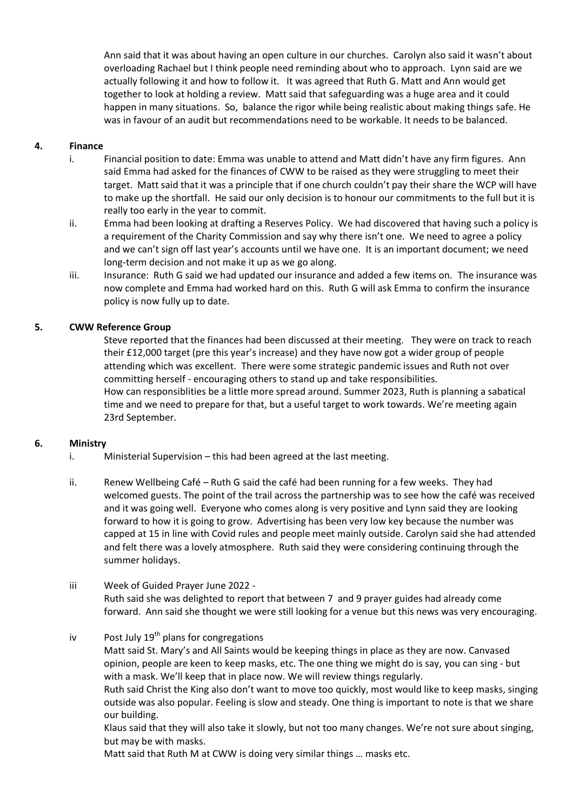Ann said that it was about having an open culture in our churches. Carolyn also said it wasn't about overloading Rachael but I think people need reminding about who to approach. Lynn said are we actually following it and how to follow it. It was agreed that Ruth G. Matt and Ann would get together to look at holding a review. Matt said that safeguarding was a huge area and it could happen in many situations. So, balance the rigor while being realistic about making things safe. He was in favour of an audit but recommendations need to be workable. It needs to be balanced.

## **4. Finance**

- i. Financial position to date: Emma was unable to attend and Matt didn't have any firm figures. Ann said Emma had asked for the finances of CWW to be raised as they were struggling to meet their target. Matt said that it was a principle that if one church couldn't pay their share the WCP will have to make up the shortfall. He said our only decision is to honour our commitments to the full but it is really too early in the year to commit.
- ii. Emma had been looking at drafting a Reserves Policy. We had discovered that having such a policy is a requirement of the Charity Commission and say why there isn't one. We need to agree a policy and we can't sign off last year's accounts until we have one. It is an important document; we need long-term decision and not make it up as we go along.
- iii. Insurance: Ruth G said we had updated our insurance and added a few items on. The insurance was now complete and Emma had worked hard on this. Ruth G will ask Emma to confirm the insurance policy is now fully up to date.

# **5. CWW Reference Group**

Steve reported that the finances had been discussed at their meeting. They were on track to reach their £12,000 target (pre this year's increase) and they have now got a wider group of people attending which was excellent. There were some strategic pandemic issues and Ruth not over committing herself - encouraging others to stand up and take responsibilities. How can responsiblities be a little more spread around. Summer 2023, Ruth is planning a sabatical time and we need to prepare for that, but a useful target to work towards. We're meeting again 23rd September.

### **6. Ministry**

- i. Ministerial Supervision this had been agreed at the last meeting.
- ii. Renew Wellbeing Café Ruth G said the café had been running for a few weeks. They had welcomed guests. The point of the trail across the partnership was to see how the café was received and it was going well. Everyone who comes along is very positive and Lynn said they are looking forward to how it is going to grow. Advertising has been very low key because the number was capped at 15 in line with Covid rules and people meet mainly outside. Carolyn said she had attended and felt there was a lovely atmosphere. Ruth said they were considering continuing through the summer holidays.

### iii Week of Guided Prayer June 2022 -

Ruth said she was delighted to report that between 7 and 9 prayer guides had already come forward. Ann said she thought we were still looking for a venue but this news was very encouraging.

### iv Post July  $19<sup>th</sup>$  plans for congregations

Matt said St. Mary's and All Saints would be keeping things in place as they are now. Canvased opinion, people are keen to keep masks, etc. The one thing we might do is say, you can sing - but with a mask. We'll keep that in place now. We will review things regularly.

Ruth said Christ the King also don't want to move too quickly, most would like to keep masks, singing outside was also popular. Feeling is slow and steady. One thing is important to note is that we share our building.

Klaus said that they will also take it slowly, but not too many changes. We're not sure about singing, but may be with masks.

Matt said that Ruth M at CWW is doing very similar things … masks etc.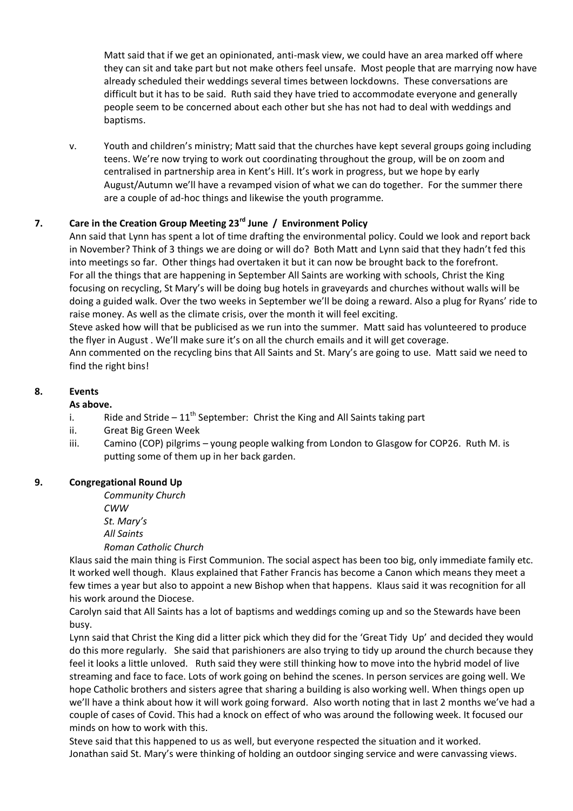Matt said that if we get an opinionated, anti-mask view, we could have an area marked off where they can sit and take part but not make others feel unsafe. Most people that are marrying now have already scheduled their weddings several times between lockdowns. These conversations are difficult but it has to be said. Ruth said they have tried to accommodate everyone and generally people seem to be concerned about each other but she has not had to deal with weddings and baptisms.

v. Youth and children's ministry; Matt said that the churches have kept several groups going including teens. We're now trying to work out coordinating throughout the group, will be on zoom and centralised in partnership area in Kent's Hill. It's work in progress, but we hope by early August/Autumn we'll have a revamped vision of what we can do together. For the summer there are a couple of ad-hoc things and likewise the youth programme.

### **7. Care in the Creation Group Meeting 23rd June / Environment Policy**

Ann said that Lynn has spent a lot of time drafting the environmental policy. Could we look and report back in November? Think of 3 things we are doing or will do? Both Matt and Lynn said that they hadn't fed this into meetings so far. Other things had overtaken it but it can now be brought back to the forefront. For all the things that are happening in September All Saints are working with schools, Christ the King focusing on recycling, St Mary's will be doing bug hotels in graveyards and churches without walls will be doing a guided walk. Over the two weeks in September we'll be doing a reward. Also a plug for Ryans' ride to raise money. As well as the climate crisis, over the month it will feel exciting.

Steve asked how will that be publicised as we run into the summer. Matt said has volunteered to produce the flyer in August . We'll make sure it's on all the church emails and it will get coverage.

Ann commented on the recycling bins that All Saints and St. Mary's are going to use. Matt said we need to find the right bins!

# **8. Events**

### **As above.**

- i. Ride and Stride  $11^{th}$  September: Christ the King and All Saints taking part
- ii. Great Big Green Week
- iii. Camino (COP) pilgrims young people walking from London to Glasgow for COP26. Ruth M. is putting some of them up in her back garden.

### **9. Congregational Round Up**

*Community Church CWW St. Mary's All Saints*

#### *Roman Catholic Church*

Klaus said the main thing is First Communion. The social aspect has been too big, only immediate family etc. It worked well though. Klaus explained that Father Francis has become a Canon which means they meet a few times a year but also to appoint a new Bishop when that happens. Klaus said it was recognition for all his work around the Diocese.

Carolyn said that All Saints has a lot of baptisms and weddings coming up and so the Stewards have been busy.

Lynn said that Christ the King did a litter pick which they did for the 'Great Tidy Up' and decided they would do this more regularly. She said that parishioners are also trying to tidy up around the church because they feel it looks a little unloved. Ruth said they were still thinking how to move into the hybrid model of live streaming and face to face. Lots of work going on behind the scenes. In person services are going well. We hope Catholic brothers and sisters agree that sharing a building is also working well. When things open up we'll have a think about how it will work going forward. Also worth noting that in last 2 months we've had a couple of cases of Covid. This had a knock on effect of who was around the following week. It focused our minds on how to work with this.

Steve said that this happened to us as well, but everyone respected the situation and it worked. Jonathan said St. Mary's were thinking of holding an outdoor singing service and were canvassing views.